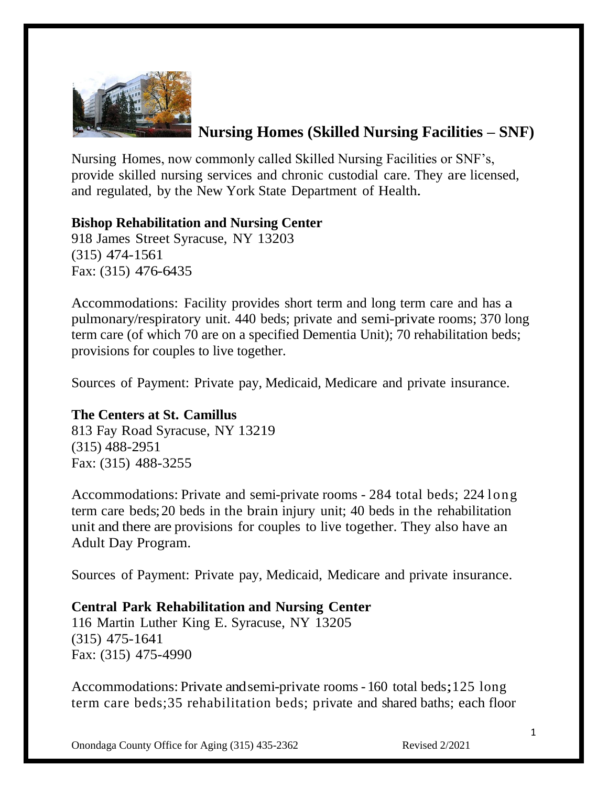

# **Nursing Homes (Skilled Nursing Facilities – SNF)**

Nursing Homes, now commonly called Skilled Nursing Facilities or SNF's, provide skilled nursing services and chronic custodial care. They are licensed, and regulated, by the New York State Department of Health.

# **Bishop Rehabilitation and Nursing Center**

918 James Street Syracuse, NY 13203 (315) 474-1561 Fax: (315) 476-6435

Accommodations: Facility provides short term and long term care and has a pulmonary/respiratory unit. 440 beds; private and semi-private rooms; 370 long term care (of which 70 are on a specified Dementia Unit); 70 rehabilitation beds; provisions for couples to live together.

Sources of Payment: Private pay, Medicaid, Medicare and private insurance.

## **The Centers at St. Camillus**

813 Fay Road Syracuse, NY 13219 (315) 488-2951 Fax: (315) 488-3255

Accommodations: Private and semi-private rooms - 284 total beds; 224 long term care beds;20 beds in the brain injury unit; 40 beds in the rehabilitation unit and there are provisions for couples to live together. They also have an Adult Day Program.

Sources of Payment: Private pay, Medicaid, Medicare and private insurance.

#### **Central Park Rehabilitation and Nursing Center**

116 Martin Luther King E. Syracuse, NY 13205 (315) 475-1641 Fax: (315) 475-4990

Accommodations: Private andsemi-private rooms - <sup>160</sup> total beds;125 long term care beds;35 rehabilitation beds; private and shared baths; each floor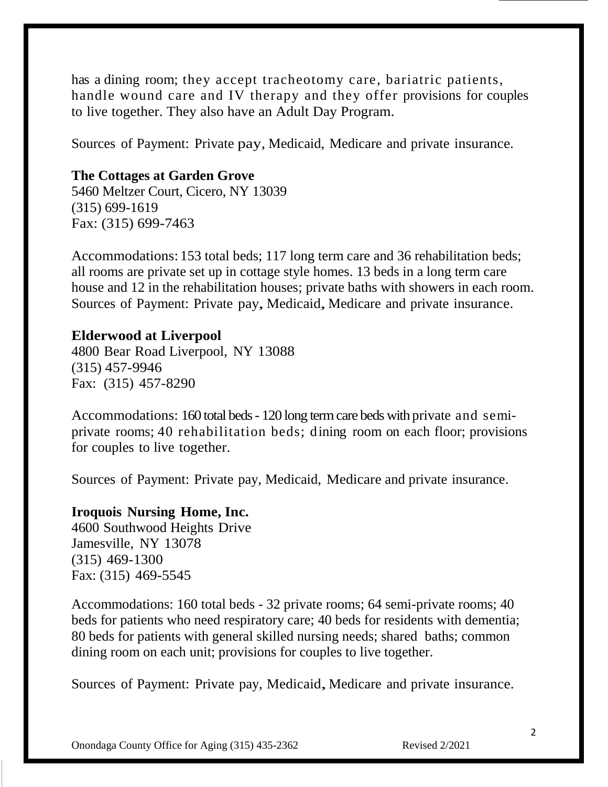has a dining room; they accept tracheotomy care, bariatric patients, handle wound care and IV therapy and they offer provisions for couples to live together. They also have an Adult Day Program.

Sources of Payment: Private pay, Medicaid, Medicare and private insurance.

## **The Cottages at Garden Grove**

5460 Meltzer Court, Cicero, NY 13039 (315) 699-1619 Fax: (315) 699-7463

Accommodations: 153 total beds; 117 long term care and 36 rehabilitation beds; all rooms are private set up in cottage style homes. 13 beds in a long term care house and 12 in the rehabilitation houses; private baths with showers in each room. Sources of Payment: Private pay, Medicaid, Medicare and private insurance.

#### **Elderwood at Liverpool**

4800 Bear Road Liverpool, NY 13088 (315) 457-9946 Fax: (315) 457-8290

Accommodations: 160 total beds - 120 long term care beds with private and semiprivate rooms; 40 rehabilitation beds; dining room on each floor; provisions for couples to live together.

Sources of Payment: Private pay, Medicaid, Medicare and private insurance.

#### **Iroquois Nursing Home, Inc.**

4600 Southwood Heights Drive Jamesville, NY 13078 (315) 469-1300 Fax: (315) 469-5545

Accommodations: 160 total beds - 32 private rooms; 64 semi-private rooms; 40 beds for patients who need respiratory care; 40 beds for residents with dementia; 80 beds for patients with general skilled nursing needs; shared baths; common dining room on each unit; provisions for couples to live together.

Sources of Payment: Private pay, Medicaid, Medicare and private insurance.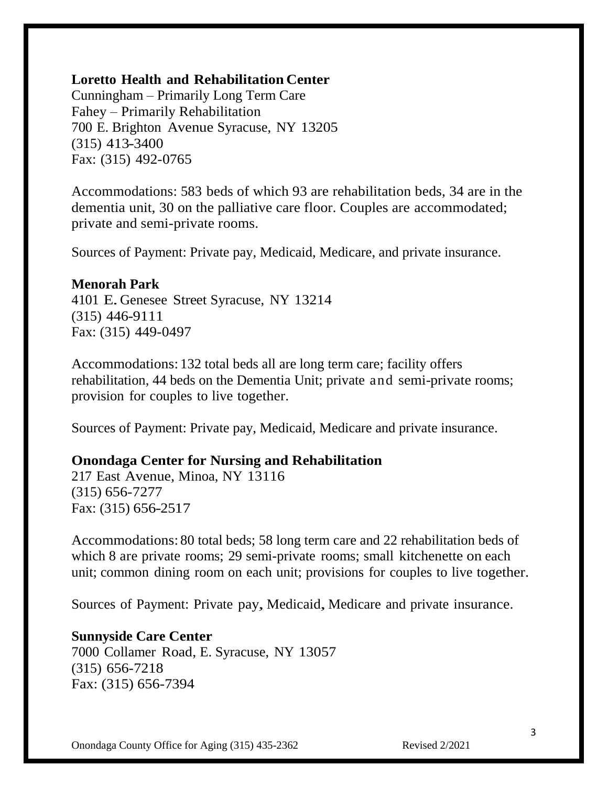# **Loretto Health and Rehabilitation Center**

Cunningham – Primarily Long Term Care Fahey – Primarily Rehabilitation 700 E. Brighton Avenue Syracuse, NY 13205 (315) 413-3400 Fax: (315) 492-0765

Accommodations: 583 beds of which 93 are rehabilitation beds, 34 are in the dementia unit, 30 on the palliative care floor. Couples are accommodated; private and semi-private rooms.

Sources of Payment: Private pay, Medicaid, Medicare, and private insurance.

#### **Menorah Park**

<sup>4101</sup> E.Genesee Street Syracuse, NY 13214 (315) 446-9111 Fax: (315) 449-0497

Accommodations: 132 total beds all are long term care; facility offers rehabilitation, 44 beds on the Dementia Unit; private and semi-private rooms; provision for couples to live together.

Sources of Payment: Private pay, Medicaid, Medicare and private insurance.

## **Onondaga Center for Nursing and Rehabilitation**

217 East Avenue, Minoa, NY 13116 (315) 656-7277 Fax: (315) 656-2517

Accommodations: 80 total beds; 58 long term care and 22 rehabilitation beds of which 8 are private rooms; 29 semi-private rooms; small kitchenette on each unit; common dining room on each unit; provisions for couples to live together.

Sources of Payment: Private pay, Medicaid, Medicare and private insurance.

**Sunnyside Care Center** 7000 Collamer Road, E. Syracuse, NY 13057 (315) 656-7218 Fax: (315) 656-7394